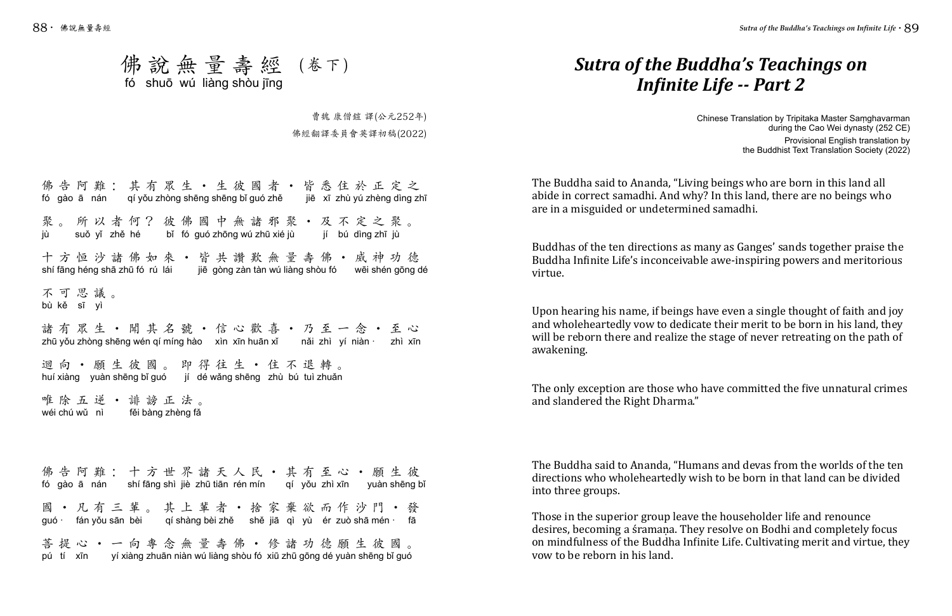## *Sutra of the Buddha's Teachings on Infinite Life -- Part 2*

Chinese Translation by Tripitaka Master Saṃghavarman during the Cao Wei dynasty (252 CE) Provisional English translation by the Buddhist Text Translation Society (2022)

The Buddha said to Ananda, "Living beings who are born in this land all abide in correct samadhi. And why? In this land, there are no beings who are in a misguided or undetermined samadhi.

Buddhas of the ten directions as many as Ganges' sands together praise the Buddha Infinite Life's inconceivable awe-inspiring powers and meritorious virtue.

Upon hearing his name, if beings have even a single thought of faith and joy and wholeheartedly vow to dedicate their merit to be born in his land, they will be reborn there and realize the stage of never retreating on the path of awakening.

## 佛說無量壽經 (卷下) fó shuō wú liàng shòu jīng

The only exception are those who have committed the five unnatural crimes and slandered the Right Dharma."

The Buddha said to Ananda, "Humans and devas from the worlds of the ten directions who wholeheartedly wish to be born in that land can be divided into three groups.

## 佛告阿難:其有眾生·生彼國者·皆悉住於正定之 聚。所以者何?彼佛國中無諸邪聚•及不定之聚。 十方恒沙諸佛如來•皆共讚歎無量壽佛•威神功德 不可思議。 諸有眾生•聞其名號•信心歡喜•乃至一念•至心 迴向•願生彼國。即得往生•住不退轉。 唯除五逆•誹謗正法。 佛告阿難:十方世界諸天人民 • 其有至心 • 願生彼 fó gào ā nán qí yǒu zhòng shēng shēng bǐ guó zhě jiē xī zhù yú zhèng dìng zhī jù suǒ yǐ zhě hé bǐ fó guó zhōng wú zhū xié jù jí bú dìng zhī jù shí fāng héng shā zhū fó rú lái jiē gòng zàn tàn wú liàng shòu fó wēi shén gōng dé bù kě sī yì zhū yǒu zhòng shēng wén qí míng hào xìn xīn huān xǐ nǎi zhì yí niàn · zhì xīn huí xiàng yuàn shēng bǐ guó jí dé wǎng shēng zhù bú tuì zhuǎn wéi chú wǔ nì fěi bàng zhèng fǎ fó gào ā nán shí fāng shì jiè zhū tiān rén mín qí yǒu zhì xīn yuàn shēng bǐ

Those in the superior group leave the householder life and renounce desires, becoming a śramana. They resolve on Bodhi and completely focus on mindfulness of the Buddha Infinite Life. Cultivating merit and virtue, they vow to be reborn in his land.

曹魏 康僧鎧 譯(公元252年) 佛經翻譯委員會英譯初稿(2022)

國•凡有三輩。其上輩者•捨家棄欲而作沙門•發 guó · fán yǒu sān bèi qí shàng bèi zhě shě jiā qì yù ér zuò shā mén · fā

菩提心•一向專念無量壽佛•修諸功德願生彼國。 pú tí xīn yí xiàng zhuān niàn wú liàng shòu fó xiū zhū gōng dé yuàn shēng bǐ guó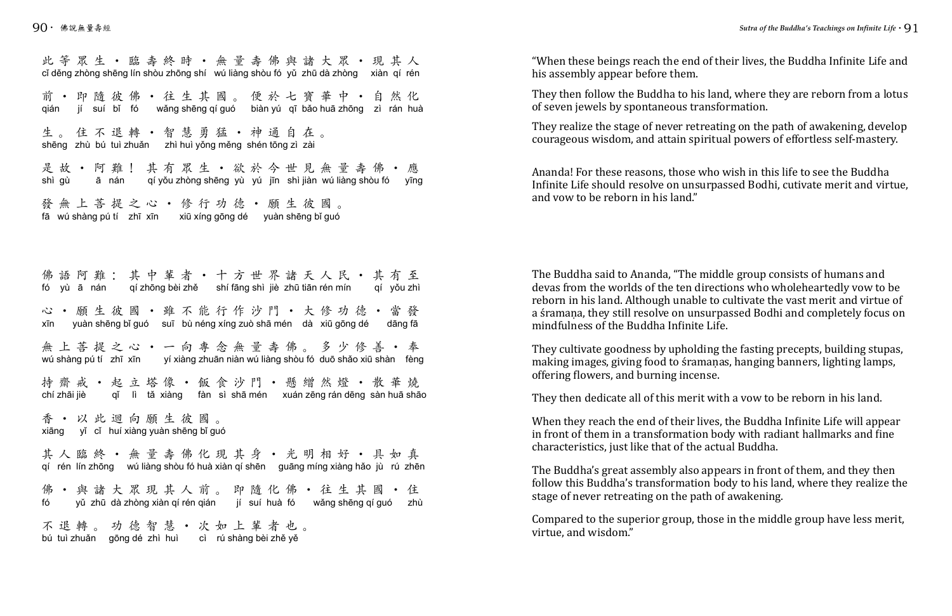"When these beings reach the end of their lives, the Buddha Infinite Life and his assembly appear before them.

They then follow the Buddha to his land, where they are reborn from a lotus of seven jewels by spontaneous transformation.

They realize the stage of never retreating on the path of awakening, develop courageous wisdom, and attain spiritual powers of effortless self-mastery.

Ananda! For these reasons, those who wish in this life to see the Buddha Infinite Life should resolve on unsurpassed Bodhi, cutivate merit and virtue, and vow to be reborn in his land."

The Buddha said to Ananda, "The middle group consists of humans and devas from the worlds of the ten directions who wholeheartedly vow to be reborn in his land. Although unable to cultivate the vast merit and virtue of a śramaṇa, they still resolve on unsurpassed Bodhi and completely focus on mindfulness of the Buddha Infinite Life.

此等眾生•臨壽終時•無量壽佛與諸大眾•現其人 前•即隨彼佛•往生其國。便於七寶華中•自然化 生。住不退轉 · 智慧勇猛 · 神通自在。 是故•阿難!其有眾生•欲於今世見無量壽佛•應 發無上菩提之心•修行功德•願生彼國。 佛語阿難:其中輩者·十方世界諸天人民·其有至 心•願生彼國•雖不能行作沙門•大修功德•當發 無上菩提之心 • 一向專念無量壽佛。多少修善 • 奉 持齋戒 • 起立塔像 • 飯食沙門 • 懸繒然燈 • 散華燒<br>chí zhāi jiè gǐ lì tǎ xiàng fàn sì shā mén xuán zēng rán dēng sàn huā shā 香•以此迴向願生彼國。 cǐ děng zhòng shēng lín shòu zhōng shí wú liàng shòu fó yǔ zhū dà zhòng xiàn qí rén qián jí suí bǐ fó wǎng shēng qí guó biàn yú qī bǎo huā zhōng zì rán huà shēng zhù bú tuì zhuǎn zhì huì yǒng měng shén tōng zì zài shì gù ā nán qí yǒu zhòng shēng yù yú jīn shì jiàn wú liàng shòu fó yīng fā wú shàng pú tí zhī xīn xiū xíng gōng dé yuàn shēng bǐ guó fó yù ā nán qí zhōng bèi zhě shí fāng shì jiè zhū tiān rén mín qí yǒu zhì xīn yuàn shēng bǐ guó suī bù néng xíng zuò shā mén dà xiū gōng dé dāng fā wú shàng pú tí zhī xīn yí xiàng zhuān niàn wú liàng shòu fó duō shǎo xiū shàn fèng qǐ lì tǎ xiàng fàn sì shā mén xuán zēng rán dēng sàn huā shāo

They cultivate goodness by upholding the fasting precepts, building stupas, making images, giving food to śramaṇas, hanging banners, lighting lamps, offering flowers, and burning incense.

They then dedicate all of this merit with a vow to be reborn in his land.

When they reach the end of their lives, the Buddha Infinite Life will appear in front of them in a transformation body with radiant hallmarks and fine characteristics, just like that of the actual Buddha.

The Buddha's great assembly also appears in front of them, and they then follow this Buddha's transformation body to his land, where they realize the stage of never retreating on the path of awakening.

Compared to the superior group, those in the middle group have less merit, virtue, and wisdom."

其人臨終•無量壽佛化現其身•光明相好•具如真 佛•與諸大眾現其人前。即隨化佛•往生其國•住 qí rén lín zhōng wú liàng shòu fó huà xiàn qí shēn guāng míng xiàng hǎo jù rú zhēn fó yǔ zhū dà zhòng xiàn qí rén qián jí suí huà fó wǎng shēng qí guó zhù

不退轉。功德智慧•次如上輩者也。 bú tuì zhuǎn gōng dé zhì huì cì rú shàng bèi zhě yě

xiāng yǐ cǐ huí xiàng yuàn shēng bǐ guó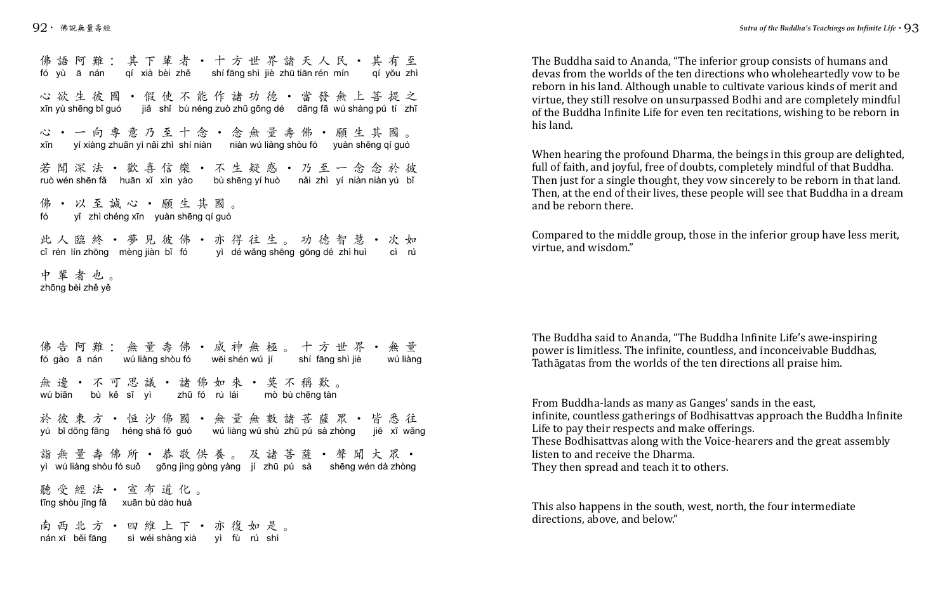The Buddha said to Ananda, "The inferior group consists of humans and devas from the worlds of the ten directions who wholeheartedly vow to be reborn in his land. Although unable to cultivate various kinds of merit and virtue, they still resolve on unsurpassed Bodhi and are completely mindful of the Buddha Infinite Life for even ten recitations, wishing to be reborn in his land.

When hearing the profound Dharma, the beings in this group are delighted, full of faith, and joyful, free of doubts, completely mindful of that Buddha. Then just for a single thought, they vow sincerely to be reborn in that land. Then, at the end of their lives, these people will see that Buddha in a dream and be reborn there.

Compared to the middle group, those in the inferior group have less merit, virtue, and wisdom."

The Buddha said to Ananda, "The Buddha Infinite Life's awe-inspiring power is limitless. The infinite, countless, and inconceivable Buddhas, Tathāgatas from the worlds of the ten directions all praise him.

佛語阿難:其下輩者·十方世界諸天人民·其有至 心欲生彼國•假使不能作諸功德•當發無上菩提之 心•一向專意乃至十念•念無量壽佛•願生其國。 若聞深法•歡喜信樂•不生疑惑•乃至一念念於彼 佛•以至誠心•願生其國。 此人臨終•夢見彼佛•亦得往生。功德智慧•次如 中輩者也。 fó yù ā nán qí xià bèi zhě shí fāng shì jiè zhū tiān rén mín qí yǒu zhì xīn yù shēng bǐ guó jiǎ shǐ bù néng zuò zhū gōng dé dāng fā wú shàng pú tí zhī xīn yí xiàng zhuān yì nǎi zhì shí niàn niàn wú liàng shòu fó yuàn shēng qí guó ruò wén shēn fǎ huān xǐ xìn yào bù shēng yí huò nǎi zhì yí niàn niàn yú bǐ fó yǐ zhì chéng xīn yuàn shēng qí guó cǐ rén lín zhōng mèng jiàn bǐ fó yì dé wǎng shēng gōng dé zhì huì cì rú zhōng bèi zhě yě

> From Buddha-lands as many as Ganges' sands in the east, infinite, countless gatherings of Bodhisattvas approach the Buddha Infinite Life to pay their respects and make offerings. These Bodhisattvas along with the Voice-hearers and the great assembly listen to and receive the Dharma. They then spread and teach it to others.

佛告阿難:無量壽佛·威神無極。十方世界·無量 無邊·不可思議·諸佛如來·莫不稱歎。 於彼東方·恒沙佛國·無量無數諸菩薩眾·皆悉往 詣無量壽佛所•恭敬供養。及諸菩薩•聲聞大眾• 聽受經法•宣布道化。 南西北方•四維上下•亦復如是。 fó gào ā nán wú liàng shòu fó wēi shén wú jí shí fāng shì jiè wú liàng wú biān bù kě sī yì zhū fó rú lái mò bù chēng tàn yú bǐ dōng fāng héng shā fó guó wú liàng wú shù zhū pú sà zhòng jiē xī wǎng yì wú liàng shòu fó suǒ gōng jìng gòng yàng jí zhū pú sà shēng wén dà zhòng tīng shòu jīng fǎ xuān bù dào huà

This also happens in the south, west, north, the four intermediate directions, above, and below."

nán xī běi fāng sì wéi shàng xià yì fù rú shì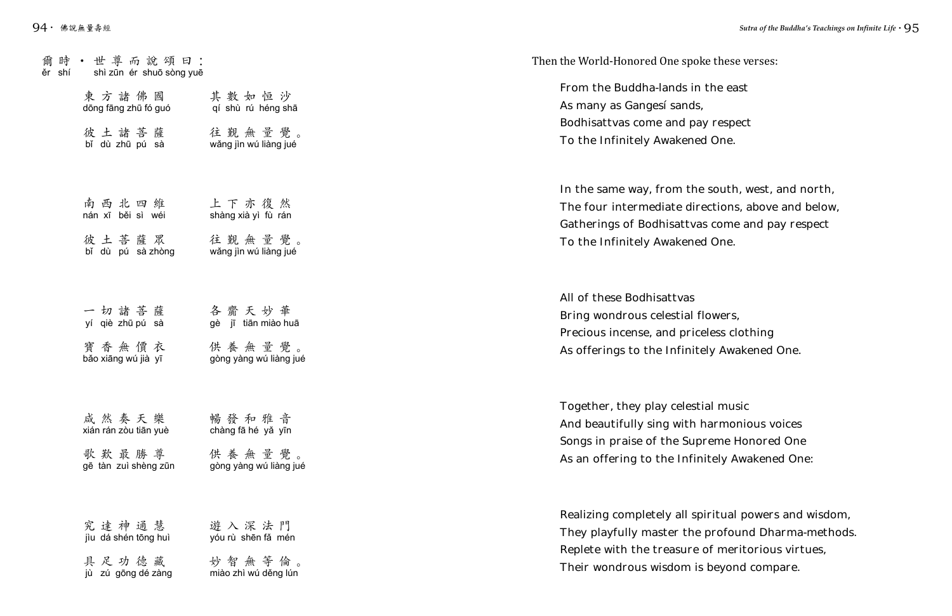## Then the World-Honored One spoke these verses:

From the Buddha-lands in the east As many as Ganges' sands, Bodhisattvas come and pay respect To the Infinitely Awakened One.

In the same way, from the south, west, and north, The four intermediate directions, above and below, Gatherings of Bodhisattvas come and pay respect To the Infinitely Awakened One.

All of these Bodhisattvas Bring wondrous celestial flowers, Precious incense, and priceless clothing As offerings to the Infinitely Awakened One.

Together, they play celestial music And beautifully sing with harmonious voices Songs in praise of the Supreme Honored One As an offering to the Infinitely Awakened One:

Realizing completely all spiritual powers and wisdom, They playfully master the profound Dharma-methods. Replete with the treasure of meritorious virtues, Their wondrous wisdom is beyond compare.

| 爾時 · 世尊而說頌曰:<br>ěr shí shì zūn ér shuō sòng yuē                    |                                  |
|--------------------------------------------------------------------|----------------------------------|
| 東方諸佛國 其數如恒沙<br>dōng fāng zhū fó guó qí shù rú héng shā             |                                  |
| 彼 土 諸 菩 薩     往 覲 無 量 覺 。<br>bỉ dù zhū pú sà wǎng jìn wú liàng jué |                                  |
| 南西北四维 上下亦復然<br>nán xī běi sì wéi shàng xià yì fù rán               |                                  |
| bǐ dù pú sà zhòng wǎng jìn wú liàng jué                            |                                  |
| 一切諸菩薩 各齎天妙華<br>yí qiè zhūpú sà                                     | gè jī tiān miào huā              |
| 寶 香 無 價 衣 ______供 養 無 量 覺 。<br>bảo xiāng wú jià yī                 | gòng yàng wú liàng jué           |
| 咸然奏天樂<br>xián rán zòu tiān yuè                                     | 暢發和雅音<br>chàng fā hé yǎ yīn      |
| 歌歎最勝尊<br>gē tàn zuì shèng zūn                                      | 供養無量覺。<br>gòng yàng wú liàng jué |
| 究達神通慧<br>jìu dá shén tōng huì                                      | 遊入深法門<br>yóu rù shēn fǎ mén      |
| 具足功德藏<br>jù zú gōng dé zàng                                        | 妙智無等倫。<br>miào zhì wú děng lún   |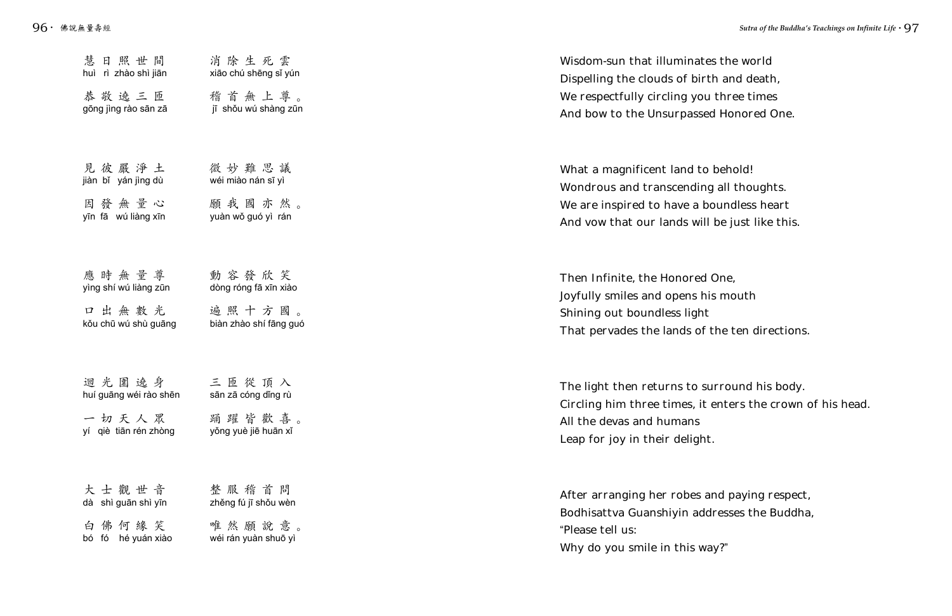| 慧日照世間                                                                    | 消除生死雲                                                | Wisdom-sun that illuminates th                                                                                                     |
|--------------------------------------------------------------------------|------------------------------------------------------|------------------------------------------------------------------------------------------------------------------------------------|
| huì rì zhào shì jiān                                                     | xião chú shēng sǐ yún                                | Dispelling the clouds of birth an                                                                                                  |
| 恭敬遶三匝                                                                    | 稽首無上尊。                                               | We respectfully circling you thi                                                                                                   |
| gōng jìng rào sān zā                                                     | jī shǒu wú shàng zūn                                 | And bow to the Unsurpassed Ho                                                                                                      |
| 見彼嚴淨土                                                                    | 微妙難思議                                                | What a magnificent land to beh                                                                                                     |
| jiàn bǐ yán jìng dù                                                      | wéi miào nán sī yì                                   | Wondrous and transcending all                                                                                                      |
| 因發無量心                                                                    | 願我國亦然。                                               | We are inspired to have a boun                                                                                                     |
| yīn fā wú liàng xīn                                                      | yuàn wǒ guó yì rán                                   | And vow that our lands will be                                                                                                     |
| 應時無量尊                                                                    | 動容發欣笑                                                | Then Infinite, the Honored One                                                                                                     |
| yìng shí wú liàng zūn                                                    | dòng róng fā xīn xiào                                | Joyfully smiles and opens his m                                                                                                    |
| 口出無數光                                                                    | 遍照十方國。                                               | Shining out boundless light                                                                                                        |
| kǒu chū wú shù guāng                                                     | biàn zhào shí fāng guó                               | That pervades the lands of the                                                                                                     |
| 迴光圍遶身<br>huí guāng wéi rào shēn<br>一切天人眾 踊躍皆歡喜。<br>yí qiè tiān rén zhòng | 三匝從頂入<br>sān zā cóng dǐng rù<br>yǒng yuè jiē huān xǐ | The light then returns to surro<br>Circling him three times, it ente<br>All the devas and humans<br>Leap for joy in their delight. |
| 大士觀世音                                                                    | 整服稽首問                                                | After arranging her robes and                                                                                                      |
| dà shì guān shì yīn                                                      | zhěng fú jī shǒu wèn                                 | Bodhisattva Guanshiyin addres:                                                                                                     |
| 白佛何緣笑                                                                    | 唯然願說意。                                               | "Please tell us:                                                                                                                   |
| bó fó hé yuán xiào                                                       | wéi rán yuàn shuō yì                                 | Why do you smile in this way?"                                                                                                     |

nates the world birth and death, you three times assed Honored One.

I to behold! ding all thoughts. a boundless heart will be just like this.

red One, is his mouth ight of the ten directions.

The surround his body. it enters the crown of his head.

es and paying respect, addresses the Buddha,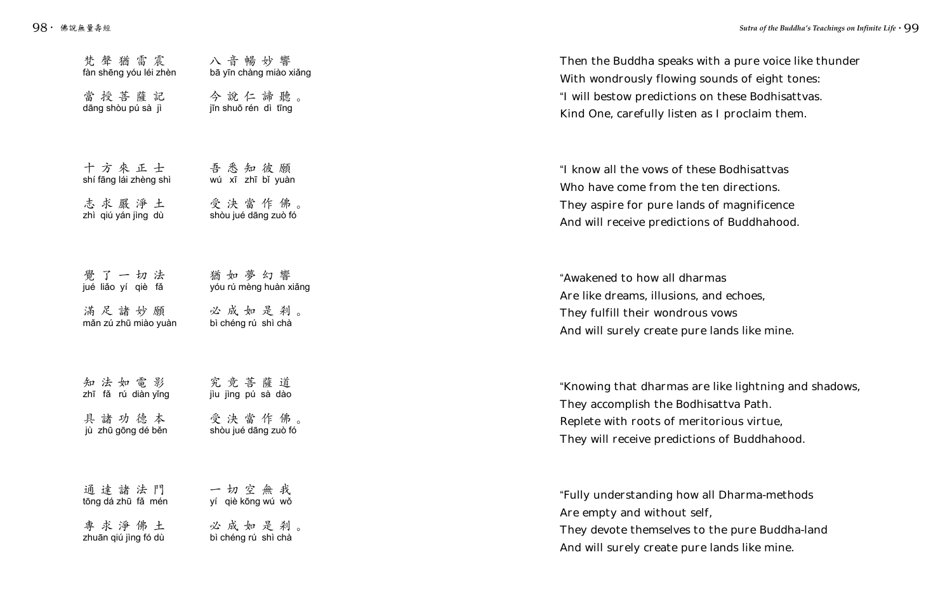ith a pure voice like thunder ounds of eight tones: n these Bodhisattvas. is I proclaim them.

se Bodhisattvas en directions. of magnificence of Buddhahood.

mas and echoes, the VOWS is lands like mine.

 $\mu$  like lightning and shadows, isattva Path. torious virtue, ns of Buddhahood.

all Dharma-methods the pure Buddha-land And will surely create pure lands like mine.

| 梵聲猶雷震<br>fàn shēng yóu léi zhèn<br>dāng shòu pú sà jì             | 八音暢妙響<br>bā yīn chàng miào xiǎng<br>當授菩薩記 今說仁諦聽。<br>jīn shuō rén dì tīng | Then the Buddha speaks wit<br>With wondrously flowing so<br>"I will bestow predictions on<br>Kind One, carefully listen as   |
|-------------------------------------------------------------------|--------------------------------------------------------------------------|------------------------------------------------------------------------------------------------------------------------------|
| 十方來正士 吾悉知彼願<br>shí fāng lái zhèng shì<br>zhì qiú yán jìng dù      | wú xī zhī bǐ yuàn<br>志 求 嚴 净 土     受 決 當 作 佛 。<br>shòu jué dāng zuò fó   | "I know all the vows of these<br>Who have come from the te<br>They aspire for pure lands of<br>And will receive predictions  |
| 覺了一切法<br>jué liǎo yí qiè fǎ<br>măn zú zhū miào yuàn               | 猶如夢幻響<br>yóu rú mèng huàn xiǎng<br>滿足諸妙願 必成如是剎。<br>bì chéng rú shì chà   | "Awakened to how all dharm<br>Are like dreams, illusions, ar<br>They fulfill their wondrous<br>And will surely create pure I |
| 知法如電影 究竟菩薩道<br>zhī fǎ rú diàn yǐng<br>具諸功德本<br>jù zhū gōng dé běn | jìu jìng pú sà dào<br>受決當作佛。<br>shòu jué dāng zuò fó                     | "Knowing that dharmas are<br>They accomplish the Bodhis<br>Replete with roots of merito<br>They will receive predictions     |
| 通達諸法門<br>tōng dá zhū fǎ mén<br>專求淨佛土<br>zhuān qiú jìng fó dù      | 一切空無我<br>yí qiè kōng wú wǒ<br>必成如是刹。<br>bì chéng rú shì chà              | "Fully understanding how al<br>Are empty and without self,<br>They devote themselves to t                                    |